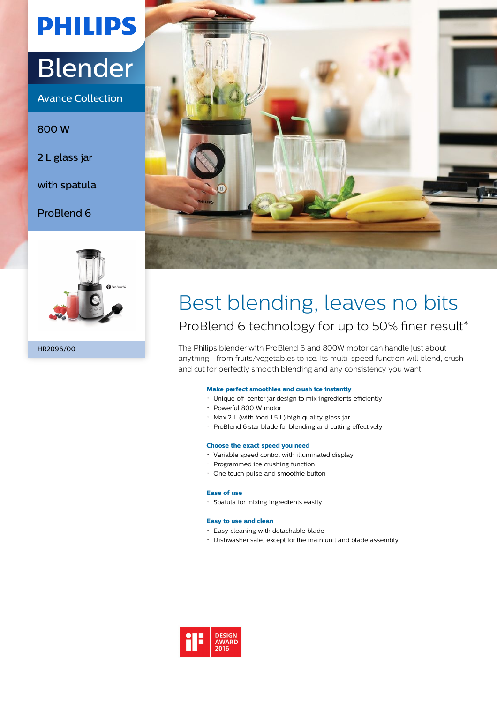# **PHILIPS**

# Blender

Avance Collection

800 W

2 L glass jar

with spatula

ProBlend 6



HR2096/00



# Best blending, leaves no bits ProBlend 6 technology for up to 50% finer result\*

The Philips blender with ProBlend 6 and 800W motor can handle just about anything - from fruits/vegetables to ice. Its multi-speed function will blend, crush and cut for perfectly smooth blending and any consistency you want.

# **Make perfect smoothies and crush ice instantly**

- Unique off-center jar design to mix ingredients efficiently
- Powerful 800 W motor
- $\cdot$  Max 2 L (with food 1.5 L) high quality glass jar
- ProBlend 6 star blade for blending and cutting effectively

## **Choose the exact speed you need**

- Variable speed control with illuminated display
- Programmed ice crushing function
- One touch pulse and smoothie button

## **Ease of use**

Spatula for mixing ingredients easily

## **Easy to use and clean**

- Easy cleaning with detachable blade
- Dishwasher safe, except for the main unit and blade assembly

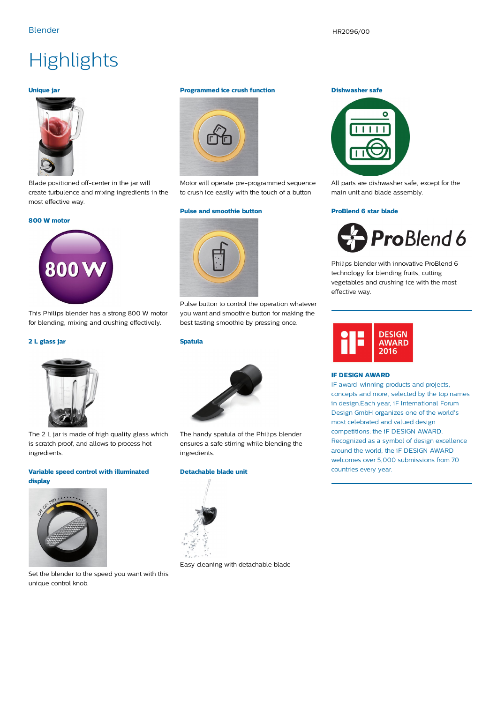# **Highlights**

### **Unique jar**



Blade positioned off-center in the jar will create turbulence and mixing ingredients in the most effective way.

#### **800 W motor**



This Philips blender has a strong 800 W motor for blending, mixing and crushing effectively.

#### **2 L glass jar**



The 2 L jar is made of high quality glass which is scratch proof, and allows to process hot ingredients.

#### **Variable speed control with illuminated display**



Set the blender to the speed you want with this unique control knob.

#### **Programmed ice crush function**



Motor will operate pre-programmed sequence to crush ice easily with the touch of a button

#### **Pulse and smoothie button**



Pulse button to control the operation whatever you want and smoothie button for making the best tasting smoothie by pressing once.

#### **Spatula**



The handy spatula of the Philips blender ensures a safe stirring while blending the ingredients.

# **Detachable blade unit**



Easy cleaning with detachable blade

#### **Dishwasher safe**



All parts are dishwasher safe, except for the main unit and blade assembly.

#### **ProBlend 6 star blade**



Philips blender with innovative ProBlend 6 technology for blending fruits, cutting vegetables and crushing ice with the most effective way.



#### **IF DESIGN AWARD**

IF award-winning products and projects, concepts and more, selected by the top names in design.Each year, iF International Forum Design GmbH organizes one of the world's most celebrated and valued design competitions: the iF DESIGN AWARD. Recognized as a symbol of design excellence around the world, the iF DESIGN AWARD welcomes over 5,000 submissions from 70 countries every year.